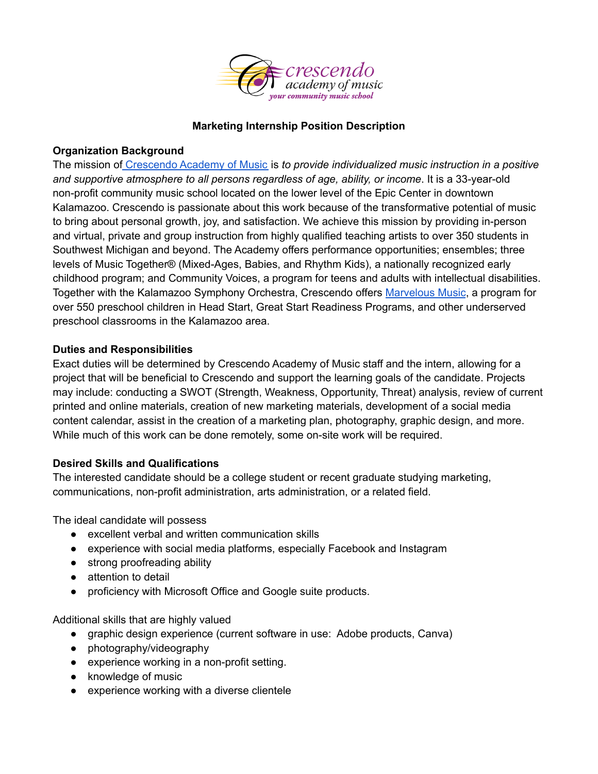

## **Marketing Internship Position Description**

## **Organization Background**

The mission of [Crescendo](https://www.crescendoacademy.com/) Academy of Music is *to provide individualized music instruction in a positive and supportive atmosphere to all persons regardless of age, ability, or income*. It is a 33-year-old non-profit community music school located on the lower level of the Epic Center in downtown Kalamazoo. Crescendo is passionate about this work because of the transformative potential of music to bring about personal growth, joy, and satisfaction. We achieve this mission by providing in-person and virtual, private and group instruction from highly qualified teaching artists to over 350 students in Southwest Michigan and beyond. The Academy offers performance opportunities; ensembles; three levels of Music Together® (Mixed-Ages, Babies, and Rhythm Kids), a nationally recognized early childhood program; and Community Voices, a program for teens and adults with intellectual disabilities. Together with the Kalamazoo Symphony Orchestra, Crescendo offers [Marvelous](https://www.crescendoacademy.com/instruction/outreach-programs) Music, a program for over 550 preschool children in Head Start, Great Start Readiness Programs, and other underserved preschool classrooms in the Kalamazoo area.

# **Duties and Responsibilities**

Exact duties will be determined by Crescendo Academy of Music staff and the intern, allowing for a project that will be beneficial to Crescendo and support the learning goals of the candidate. Projects may include: conducting a SWOT (Strength, Weakness, Opportunity, Threat) analysis, review of current printed and online materials, creation of new marketing materials, development of a social media content calendar, assist in the creation of a marketing plan, photography, graphic design, and more. While much of this work can be done remotely, some on-site work will be required.

# **Desired Skills and Qualifications**

The interested candidate should be a college student or recent graduate studying marketing, communications, non-profit administration, arts administration, or a related field.

The ideal candidate will possess

- excellent verbal and written communication skills
- experience with social media platforms, especially Facebook and Instagram
- strong proofreading ability
- attention to detail
- proficiency with Microsoft Office and Google suite products.

Additional skills that are highly valued

- graphic design experience (current software in use: Adobe products, Canva)
- photography/videography
- experience working in a non-profit setting.
- knowledge of music
- experience working with a diverse clientele